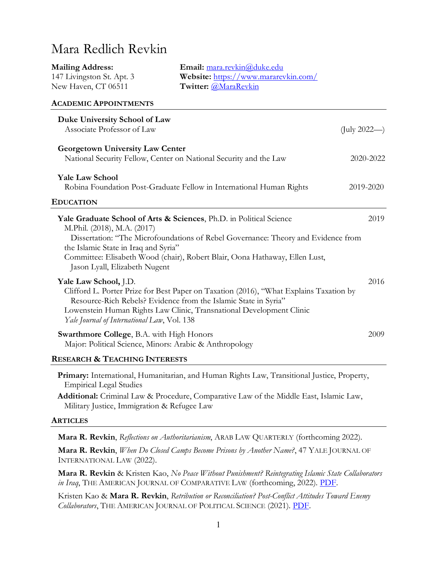# Mara Redlich Revkin

| <b>Mailing Address:</b>      | Email: mara.revkin@duke.edu          |
|------------------------------|--------------------------------------|
| 147 Livingston St. Apt. 3    | Website: https://www.mararevkin.com/ |
| New Haven, CT 06511          | Twitter: @MaraRevkin                 |
| <b>ACADEMIC APPOINTMENTS</b> |                                      |
|                              |                                      |

| Duke University School of Law                                                                                                                             |              |
|-----------------------------------------------------------------------------------------------------------------------------------------------------------|--------------|
| Associate Professor of Law                                                                                                                                | (July 2022—) |
| <b>Georgetown University Law Center</b>                                                                                                                   |              |
| National Security Fellow, Center on National Security and the Law                                                                                         | 2020-2022    |
| <b>Yale Law School</b>                                                                                                                                    |              |
| Robina Foundation Post-Graduate Fellow in International Human Rights                                                                                      | 2019-2020    |
| <b>EDUCATION</b>                                                                                                                                          |              |
| Yale Graduate School of Arts & Sciences, Ph.D. in Political Science<br>M.Phil. (2018), M.A. (2017)                                                        | 2019         |
| Dissertation: "The Microfoundations of Rebel Governance: Theory and Evidence from                                                                         |              |
| the Islamic State in Iraq and Syria"<br>Committee: Elisabeth Wood (chair), Robert Blair, Oona Hathaway, Ellen Lust,<br>Jason Lyall, Elizabeth Nugent      |              |
| Yale Law School, J.D.                                                                                                                                     | 2016         |
| Clifford L. Porter Prize for Best Paper on Taxation (2016), "What Explains Taxation by<br>Resource-Rich Rebels? Evidence from the Islamic State in Syria" |              |
| Lowenstein Human Rights Law Clinic, Transnational Development Clinic                                                                                      |              |
| Yale Journal of International Law, Vol. 138                                                                                                               |              |
| <b>Swarthmore College, B.A. with High Honors</b><br>Major: Political Science, Minors: Arabic & Anthropology                                               | 2009         |
| <b>RESEARCH &amp; TEACHING INTERESTS</b>                                                                                                                  |              |

**Primary:** International, Humanitarian, and Human Rights Law, Transitional Justice, Property, Empirical Legal Studies

**Additional:** Criminal Law & Procedure, Comparative Law of the Middle East, Islamic Law, Military Justice, Immigration & Refugee Law

#### **ARTICLES**

**Mara R. Revkin**, *Reflections on Authoritarianism*, ARAB LAW QUARTERLY (forthcoming 2022).

**Mara R. Revkin**, *When Do Closed Camps Become Prisons by Another Name?*, 47 YALE JOURNAL OF INTERNATIONAL LAW (2022).

**Mara R. Revkin** & Kristen Kao, *No Peace Without Punishment? Reintegrating Islamic State Collaborators in Iraq*, THE AMERICAN JOURNAL OF COMPARATIVE LAW (forthcoming, 2022). [PDF.](https://papers.ssrn.com/sol3/papers.cfm?abstract_id=3659468)

Kristen Kao & **Mara R. Revkin**, *Retribution or Reconciliation? Post-Conflict Attitudes Toward Enemy Collaborators*, THE AMERICAN JOURNAL OF POLITICAL SCIENCE (2021). [PDF.](https://papers.ssrn.com/sol3/papers.cfm?abstract_id=3448068)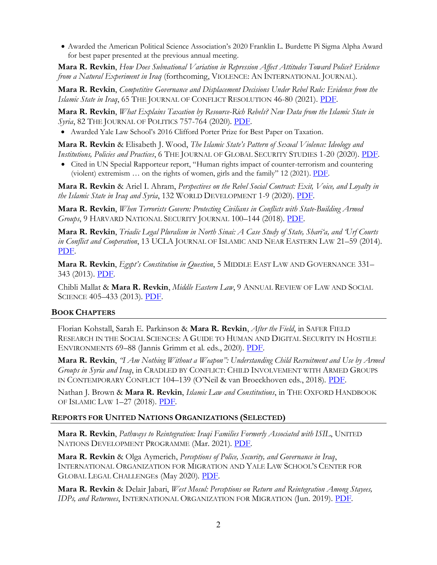• Awarded the American Political Science Association's 2020 Franklin L. Burdette Pi Sigma Alpha Award for best paper presented at the previous annual meeting.

**Mara R. Revkin**, *How Does Subnational Variation in Repression Affect Attitudes Toward Police? Evidence from a Natural Experiment in Iraq* (forthcoming, VIOLENCE: AN INTERNATIONAL JOURNAL).

**Mara R. Revkin**, *Competitive Governance and Displacement Decisions Under Rebel Rule: Evidence from the Islamic State in Iraq*, 65 THE JOURNAL OF CONFLICT RESOLUTION 46-80 (2021). [PDF.](https://www.mararevkin.com/uploads/1/2/3/2/123214819/revkin_jcr_2020.pdf)

**Mara R. Revkin**, *What Explains Taxation by Resource-Rich Rebels? New Data from the Islamic State in Syria*, 82 THE JOURNAL OF POLITICS 757-764 (2020). [PDF.](https://www.mararevkin.com/uploads/1/2/3/2/123214819/jop_revkin.pdf)

• Awarded Yale Law School's 2016 Clifford Porter Prize for Best Paper on Taxation.

**Mara R. Revkin** & Elisabeth J. Wood, *The Islamic State's Pattern of Sexual Violence: Ideology and Institutions, Policies and Practices*, 6 THE JOURNAL OF GLOBAL SECURITY STUDIES 1-20 (2020). [PDF.](https://www.mararevkin.com/uploads/1/2/3/2/123214819/revkin_wood_jogss_2020.pdf)

• Cited in UN Special Rapporteur report, "Human rights impact of counter-terrorism and countering (violent) extremism  $\ldots$  on the rights of women, girls and the family" 12 (2021). [PDF.](https://undocs.org/A/HRC/46/36)

**Mara R. Revkin** & Ariel I. Ahram, *Perspectives on the Rebel Social Contract: Exit, Voice, and Loyalty in the Islamic State in Iraq and Syria*, 132 WORLD DEVELOPMENT 1-9 (2020). [PDF.](https://www.mararevkin.com/uploads/1/2/3/2/123214819/world_development.pdf)

**Mara R. Revkin**, *When Terrorists Govern: Protecting Civilians in Conflicts with State-Building Armed Groups*, 9 HARVARD NATIONAL SECURITY JOURNAL 100–144 (2018). [PDF.](https://harvardnsj.org/wp-content/uploads/sites/13/2018/01/3_Revkin_WhenTerroristsGovern-2.pdf)

**Mara R. Revkin**, *Triadic Legal Pluralism in North Sinai: A Case Study of State, Shari'a, and Urf Courts in Conflict and Cooperation*, 13 UCLA JOURNAL OF ISLAMIC AND NEAR EASTERN LAW 21-59 (2014). [PDF.](https://www.mararevkin.com/uploads/1/2/3/2/123214819/revkin_jinel.pdf)

**Mara R. Revkin**, *Egypt's Constitution in Question*, 5 MIDDLE EAST LAW AND GOVERNANCE 331– 343 (2013). [PDF.](https://www.mararevkin.com/uploads/1/2/3/2/123214819/revkin_melg.pdf)

Chibli Mallat & **Mara R. Revkin**, *Middle Eastern Law*, 9 ANNUAL REVIEW OF LAW AND SOCIAL SCIENCE 405-433 (2013). [PDF.](https://www.mararevkin.com/uploads/1/2/3/2/123214819/mallat_revkin_annualreview.pdf)

#### **BOOK CHAPTERS**

Florian Kohstall, Sarah E. Parkinson & **Mara R. Revkin**, *After the Field*, in SAFER FIELD RESEARCH IN THE SOCIAL SCIENCES: A GUIDE TO HUMAN AND DIGITAL SECURITY IN HOSTILE ENVIRONMENTS 69–88 (Jannis Grimm et al. eds., 2020). [PDF.](http://us.sagepub.com/en-us/nam/safer-field-research-in-the-social-sciences/book269877)

**Mara R. Revkin**, *'I Am Nothing Without a Weapon'*: Understanding Child Recruitment and Use by Armed *Groups in Syria and Iraq*, in CRADLED BY CONFLICT: CHILD INVOLVEMENT WITH ARMED GROUPS IN CONTEMPORARY CONFLICT 104–139 (O'Neil & van Broeckhoven eds., 2018). [PDF.](https://www.mararevkin.com/uploads/1/2/3/2/123214819/revkin_unu_chapter4.pdf_copy.pdf)

Nathan J. Brown & **Mara R. Revkin**, *Islamic Law and Constitutions*, in THE OXFORD HANDBOOK OF ISLAMIC LAW 1-27 (2018). [PDF.](https://www.mararevkin.com/uploads/1/2/3/2/123214819/brown_revkin_oxfordhandbook.pdf)

#### **REPORTS FOR UNITED NATIONS ORGANIZATIONS (SELECTED)**

**Mara R. Revkin**, *Pathways to Reintegration: Iraqi Families Formerly Associated with ISIL*, UNITED NATIONS DEVELOPMENT PROGRAMME (Mar. 2021). [PDF.](https://www.iq.undp.org/content/iraq/en/home/library/Stabilization/pathways-to-reintegration.html)

**Mara R. Revkin** & Olga Aymerich, *Perceptions of Police, Security, and Governance in Iraq*, INTERNATIONAL ORGANIZATION FOR MIGRATION AND YALE LAW SCHOOL·S CENTER FOR GLOBAL LEGAL CHALLENGEs (May 2020). [PDF.](https://iraq.iom.int/files/IOM%20Iraq%20Perceptions%20of%20Security%20and%20Police%20in%20Iraq-%20Baseline%20Survey%20Findings_0.pdf)

**Mara R. Revkin** & Delair Jabari, *West Mosul: Perceptions on Return and Reintegration Among Stayees, IDPs, and Returnees*, INTERNATIONAL ORGANIZATION FOR MIGRATION (Jun. 2019). [PDF.](https://reliefweb.int/sites/reliefweb.int/files/resources/Perceptions%20on%20return%20and%20reintegration%20%28June%202019%29.pdf)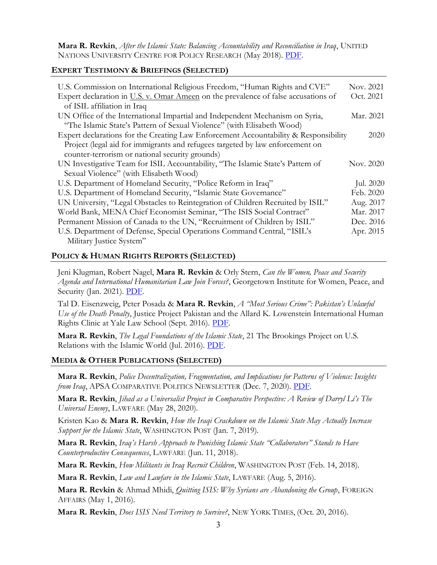**Mara R. Revkin**, *After the Islamic State: Balancing Accountability and Reconciliation in Iraq*, UNITED NATIONS UNIVERSITY CENTRE FOR POLICY RESEARCH (May 2018). [PDF.](https://i.unu.edu/media/cpr.unu.edu/attachment/3384/LoPIraq050119.pdf)

## **EXPERT TESTIMONY & BRIEFINGS (SELECTED)**

| U.S. Commission on International Religious Freedom, "Human Rights and CVE"           | Nov. 2021 |           |
|--------------------------------------------------------------------------------------|-----------|-----------|
| Expert declaration in U.S. v. Omar Ameen on the prevalence of false accusations of   | Oct. 2021 |           |
| of ISIL affiliation in Iraq                                                          |           |           |
| UN Office of the International Impartial and Independent Mechanism on Syria,         | Mar. 2021 |           |
| "The Islamic State's Pattern of Sexual Violence" (with Elisabeth Wood)               |           |           |
| Expert declarations for the Creating Law Enforcement Accountability & Responsibility |           | 2020      |
| Project (legal aid for immigrants and refugees targeted by law enforcement on        |           |           |
| counter-terrorism or national security grounds)                                      |           |           |
| UN Investigative Team for ISIL Accountability, "The Islamic State's Pattern of       | Nov. 2020 |           |
| Sexual Violence" (with Elisabeth Wood)                                               |           |           |
| U.S. Department of Homeland Security, "Police Reform in Iraq"                        |           | Jul. 2020 |
| U.S. Department of Homeland Security, "Islamic State Governance"                     | Feb. 2020 |           |
| UN University, "Legal Obstacles to Reintegration of Children Recruited by ISIL"      | Aug. 2017 |           |
| World Bank, MENA Chief Economist Seminar, "The ISIS Social Contract"                 | Mar. 2017 |           |
| Permanent Mission of Canada to the UN, "Recruitment of Children by ISIL"             | Dec. 2016 |           |
| U.S. Department of Defense, Special Operations Command Central, "ISIL's              | Apr. 2015 |           |
| Military Justice System"                                                             |           |           |

## **POLICY & HUMAN RIGHTS REPORTS (SELECTED)**

Jeni Klugman, Robert Nagel, **Mara R. Revkin** & Orly Stern, *Can the Women, Peace and Security Agenda and International Humanitarian Law Join Forces?*, Georgetown Institute for Women, Peace, and Security (Jan. 2021). [PDF.](https://giwps.georgetown.edu/wp-content/uploads/2021/01/Can-WPS-and-IHL-Join-Forces.pdf)

Tal D. Eisenzweig, Peter Posada & **Mara R. Revkin**, *A "Most Serious Crime": Pakistan's Unlawful Use of the Death Penalty*, Justice Project Pakistan and the Allard K. Lowenstein International Human Rights Clinic at Yale Law School (Sept. 2016). [PDF.](https://www.law.yale.edu/sites/default/files/area/center/schell/2016_09_23_pub_dp_report.pdf)

**Mara R. Revkin**, *The Legal Foundations of the Islamic State*, 21 The Brookings Project on U.S. Relations with the Islamic World (Jul. 2016). [PDF.](https://www.brookings.edu/wp-content/uploads/2016/07/Brookings-Analysis-Paper_Mara-Revkin_Web.pdf)

#### **MEDIA & OTHER PUBLICATIONS (SELECTED)**

**Mara R. Revkin**, *Police Decentralization, Fragmentation, and Implications for Patterns of Violence: Insights from Iraq*, APSA COMPARATIVE POLITICS NEWSLETTER (Dec. 7, 2020). [PDF.](https://www.mararevkin.com/uploads/1/2/3/2/123214819/revkin_apsanewsletter.pdf)

**Mara R. Revkin**, *Jihad as a Universalist Project in Comparative Perspective: A Review of Darryl Li's The Universal Enemy*, LAWFARE (May 28, 2020).

Kristen Kao & **Mara R. Revkin**, *How the Iraqi Crackdown on the Islamic State May Actually Increase Support for the Islamic State*, WASHINGTON POST (Jan. 7, 2019).

Mara R. Revkin, *Iraq's Harsh Approach to Punishing Islamic State "Collaborators" Stands to Have Counterproductive Consequences*, LAWFARE (Jun. 11, 2018).

**Mara R. Revkin**, *How Militants in Iraq Recruit Children*, WASHINGTON POST (Feb. 14, 2018).

**Mara R. Revkin**, *Law and Lawfare in the Islamic State*, LAWFARE (Aug. 5, 2016).

**Mara R. Revkin** & Ahmad Mhidi, *Quitting ISIS: Why Syrians are Abandoning the Group*, FOREIGN AFFAIRS (May 1, 2016).

**Mara R. Revkin**, *Does ISIS Need Territory to Survive?*, NEW YORK TIMES, (Oct. 20, 2016).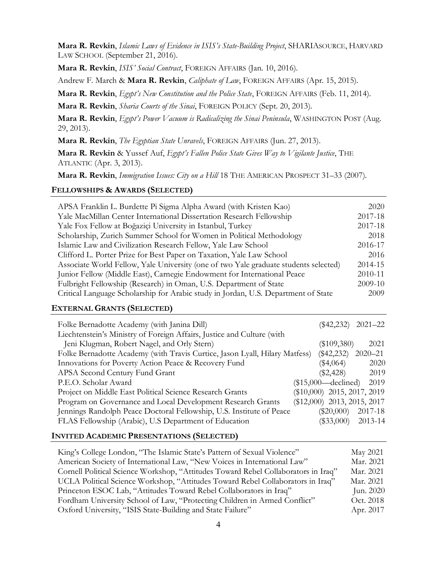**Mara R. Revkin**, *Islamic Laws of Evidence in ISIS's State-Building Project*, SHARIASOURCE, HARVARD LAW SCHOOL (September 21, 2016).

Mara R. Revkin, *ISIS' Social Contract*, FOREIGN AFFAIRS (Jan. 10, 2016).

Andrew F. March & **Mara R. Revkin**, *Caliphate of Law*, FOREIGN AFFAIRS (Apr. 15, 2015).

Mara R. Revkin, *Egypt's New Constitution and the Police State*, FOREIGN AFFAIRS (Feb. 11, 2014).

**Mara R. Revkin**, *Sharia Courts of the Sinai*, FOREIGN POLICY (Sept. 20, 2013).

**Mara R. Revkin**, *Egypt's Power Vacuum is Radicalizing the Sinai Peninsula*, WASHINGTON POST (Aug. 29, 2013).

**Mara R. Revkin**, *The Egyptian State Unravels*, FOREIGN AFFAIRS (Jun. 27, 2013).

**Mara R. Revkin** & Yussef Auf, *Egypt's Fallen Police State Gives Way to Vigilante Justice*, THE ATLANTIC (Apr. 3, 2013).

**Mara R. Revkin**, *Immigration Issues: City on a Hill* 18 THE AMERICAN PROSPECT 31–33 (2007).

## **FELLOWSHIPS & AWARDS (SELECTED)**

| APSA Franklin L. Burdette Pi Sigma Alpha Award (with Kristen Kao)                    | 2020    |
|--------------------------------------------------------------------------------------|---------|
| Yale MacMillan Center International Dissertation Research Fellowship                 | 2017-18 |
| Yale Fox Fellow at Boğaziçi University in Istanbul, Turkey                           | 2017-18 |
| Scholarship, Zurich Summer School for Women in Political Methodology                 | 2018    |
| Islamic Law and Civilization Research Fellow, Yale Law School                        | 2016-17 |
| Clifford L. Porter Prize for Best Paper on Taxation, Yale Law School                 | 2016    |
| Associate World Fellow, Yale University (one of two Yale graduate students selected) | 2014-15 |
| Junior Fellow (Middle East), Carnegie Endowment for International Peace              | 2010-11 |
| Fulbright Fellowship (Research) in Oman, U.S. Department of State                    | 2009-10 |
| Critical Language Scholarship for Arabic study in Jordan, U.S. Department of State   | 2009    |

#### **EXTERNAL GRANTS (SELECTED)**

| Folke Bernadotte Academy (with Janina Dill)                                 | $2021 - 22$<br>$(\$42,232)$   |
|-----------------------------------------------------------------------------|-------------------------------|
| Liechtenstein's Ministry of Foreign Affairs, Justice and Culture (with      |                               |
| Jeni Klugman, Robert Nagel, and Orly Stern)                                 | $(\$109,380)$<br>2021         |
| Folke Bernadotte Academy (with Travis Curtice, Jason Lyall, Hilary Matfess) | $(\$42,232)$<br>$2020 - 21$   |
| Innovations for Poverty Action Peace & Recovery Fund                        | $(\$4,064)$<br>2020           |
| APSA Second Century Fund Grant                                              | 2019<br>$(\$2,428)$           |
| P.E.O. Scholar Award                                                        | $($15,000$ —declined)<br>2019 |
| Project on Middle East Political Science Research Grants                    | $(\$10,000)$ 2015, 2017, 2019 |
| Program on Governance and Local Development Research Grants                 | (\$12,000) 2013, 2015, 2017   |
| Jennings Randolph Peace Doctoral Fellowship, U.S. Institute of Peace        | 2017-18<br>$(\$20,000)$       |
| FLAS Fellowship (Arabic), U.S Department of Education                       | 2013-14<br>$(\$33,000)$       |

#### **INVITED ACADEMIC PRESENTATIONS (SELECTED)**

| King's College London, "The Islamic State's Pattern of Sexual Violence"            | May 2021  |
|------------------------------------------------------------------------------------|-----------|
| American Society of International Law, "New Voices in International Law"           | Mar. 2021 |
| Cornell Political Science Workshop, "Attitudes Toward Rebel Collaborators in Iraq" | Mar. 2021 |
| UCLA Political Science Workshop, "Attitudes Toward Rebel Collaborators in Iraq"    | Mar. 2021 |
| Princeton ESOC Lab, "Attitudes Toward Rebel Collaborators in Iraq"                 | Jun. 2020 |
| Fordham University School of Law, "Protecting Children in Armed Conflict"          | Oct. 2018 |
| Oxford University, "ISIS State-Building and State Failure"                         | Apr. 2017 |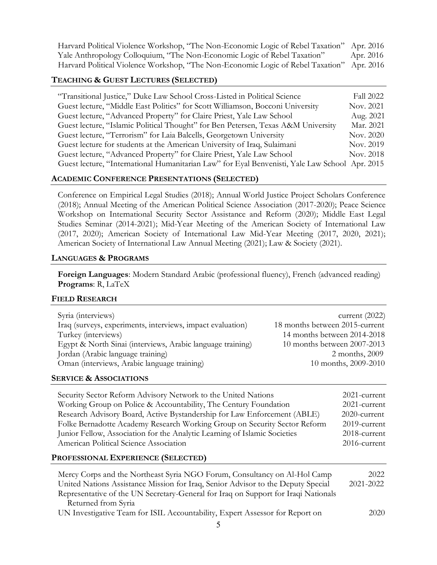| Harvard Political Violence Workshop, "The Non-Economic Logic of Rebel Taxation" Apr. 2016 |           |
|-------------------------------------------------------------------------------------------|-----------|
| Yale Anthropology Colloquium, "The Non-Economic Logic of Rebel Taxation"                  | Apr. 2016 |
| Harvard Political Violence Workshop, "The Non-Economic Logic of Rebel Taxation" Apr. 2016 |           |

#### **TEACHING & GUEST LECTURES (SELECTED)**

| "Transitional Justice," Duke Law School Cross-Listed in Political Science                      | Fall 2022 |
|------------------------------------------------------------------------------------------------|-----------|
| Guest lecture, "Middle East Politics" for Scott Williamson, Bocconi University                 | Nov. 2021 |
| Guest lecture, "Advanced Property" for Claire Priest, Yale Law School                          | Aug. 2021 |
| Guest lecture, "Islamic Political Thought" for Ben Petersen, Texas A&M University              | Mar. 2021 |
| Guest lecture, "Terrorism" for Laia Balcells, Georgetown University                            | Nov. 2020 |
| Guest lecture for students at the American University of Iraq, Sulaimani                       | Nov. 2019 |
| Guest lecture, "Advanced Property" for Claire Priest, Yale Law School                          | Nov. 2018 |
| Guest lecture, "International Humanitarian Law" for Eyal Benvenisti, Yale Law School Apr. 2015 |           |

#### **ACADEMIC CONFERENCE PRESENTATIONS (SELECTED)**

Conference on Empirical Legal Studies (2018); Annual World Justice Project Scholars Conference (2018); Annual Meeting of the American Political Science Association (2017-2020); Peace Science Workshop on International Security Sector Assistance and Reform (2020); Middle East Legal Studies Seminar (2014-2021); Mid-Year Meeting of the American Society of International Law (2017, 2020); American Society of International Law Mid-Year Meeting (2017, 2020, 2021); American Society of International Law Annual Meeting (2021); Law & Society (2021).

#### **LANGUAGES & PROGRAMS**

**Foreign Languages**: Modern Standard Arabic (professional fluency), French (advanced reading) **Programs**: R, LaTeX

#### **FIELD RESEARCH**

| Syria (interviews)<br>Iraq (surveys, experiments, interviews, impact evaluation)<br>18 months between 2015-current<br>Turkey (interviews)<br>Egypt & North Sinai (interviews, Arabic language training)<br>Jordan (Arabic language training)<br>Oman (interviews, Arabic language training)<br><b>SERVICE &amp; ASSOCIATIONS</b>                                                                                                                        | current $(2022)$<br>14 months between 2014-2018<br>10 months between 2007-2013<br>2 months, 2009<br>10 months, 2009-2010 |
|---------------------------------------------------------------------------------------------------------------------------------------------------------------------------------------------------------------------------------------------------------------------------------------------------------------------------------------------------------------------------------------------------------------------------------------------------------|--------------------------------------------------------------------------------------------------------------------------|
| Security Sector Reform Advisory Network to the United Nations<br>Working Group on Police & Accountability, The Century Foundation<br>Research Advisory Board, Active Bystandership for Law Enforcement (ABLE)<br>Folke Bernadotte Academy Research Working Group on Security Sector Reform<br>Junior Fellow, Association for the Analytic Learning of Islamic Societies<br>American Political Science Association<br>PROFESSIONAL EXPERIENCE (SELECTED) | 2021-current<br>2021-current<br>2020-current<br>2019-current<br>2018-current<br>2016-current                             |
|                                                                                                                                                                                                                                                                                                                                                                                                                                                         |                                                                                                                          |
| Mercy Corps and the Northeast Syria NGO Forum, Consultancy on Al-Hol Camp<br>United Nations Assistance Mission for Iraq, Senior Advisor to the Deputy Special<br>Representative of the UN Secretary-General for Iraq on Support for Iraqi Nationals<br>Returned from Syria                                                                                                                                                                              | 2022<br>2021-2022                                                                                                        |
| UN Investigative Team for ISIL Accountability, Expert Assessor for Report on                                                                                                                                                                                                                                                                                                                                                                            | 2020                                                                                                                     |